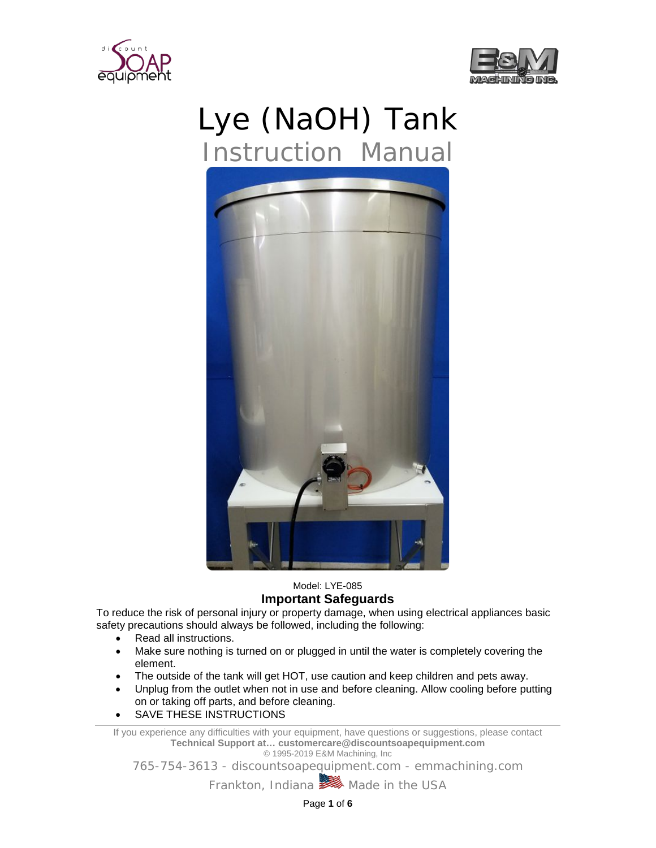



# Lye (NaOH) Tank Instruction Manual



# Model: LYE-085 **Important Safeguards**

To reduce the risk of personal injury or property damage, when using electrical appliances basic safety precautions should always be followed, including the following:

- Read all instructions.
- Make sure nothing is turned on or plugged in until the water is completely covering the element.
- The outside of the tank will get HOT, use caution and keep children and pets away.
- Unplug from the outlet when not in use and before cleaning. Allow cooling before putting on or taking off parts, and before cleaning.
- SAVE THESE INSTRUCTIONS

If you experience any difficulties with your equipment, have questions or suggestions, please contact **Technical Support at… customercare@discountsoapequipment.com** © 1995-2019 E&M Machining, Inc

765-754-3613 - discountsoapequipment.com - emmachining.com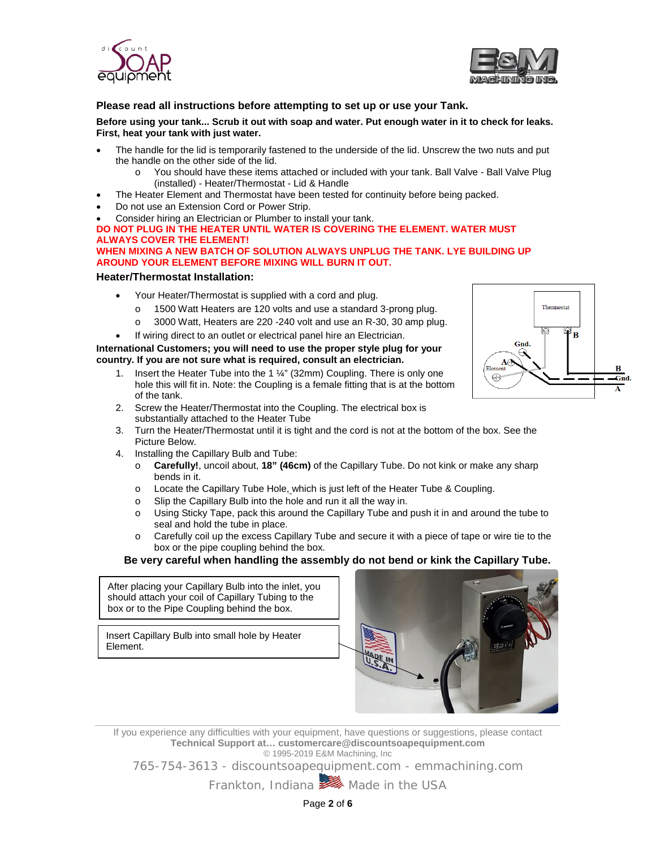



#### **Please read all instructions before attempting to set up or use your Tank.**

**Before using your tank... Scrub it out with soap and water. Put enough water in it to check for leaks. First, heat your tank with just water.**

- The handle for the lid is temporarily fastened to the underside of the lid. Unscrew the two nuts and put the handle on the other side of the lid.
	- o You should have these items attached or included with your tank. Ball Valve Ball Valve Plug (installed) - Heater/Thermostat - Lid & Handle
- The Heater Element and Thermostat have been tested for continuity before being packed.
- Do not use an Extension Cord or Power Strip.
- Consider hiring an Electrician or Plumber to install your tank.

# **DO NOT PLUG IN THE HEATER UNTIL WATER IS COVERING THE ELEMENT. WATER MUST ALWAYS COVER THE ELEMENT!**

#### **WHEN MIXING A NEW BATCH OF SOLUTION ALWAYS UNPLUG THE TANK. LYE BUILDING UP AROUND YOUR ELEMENT BEFORE MIXING WILL BURN IT OUT.**

#### **Heater/Thermostat Installation:**

- Your Heater/Thermostat is supplied with a cord and plug.
	- o 1500 Watt Heaters are 120 volts and use a standard 3-prong plug.
	- o 3000 Watt, Heaters are 220 -240 volt and use an R-30, 30 amp plug.
- If wiring direct to an outlet or electrical panel hire an Electrician.

**International Customers; you will need to use the proper style plug for your country. If you are not sure what is required, consult an electrician.**

- 1. Insert the Heater Tube into the 1 ¼" (32mm) Coupling. There is only one hole this will fit in. Note: the Coupling is a female fitting that is at the bottom of the tank.
- 2. Screw the Heater/Thermostat into the Coupling. The electrical box is substantially attached to the Heater Tube
- 3. Turn the Heater/Thermostat until it is tight and the cord is not at the bottom of the box. See the Picture Below.
- 4. Installing the Capillary Bulb and Tube:
	- o **Carefully!**, uncoil about, **18" (46cm)** of the Capillary Tube. Do not kink or make any sharp bends in it.
	- o Locate the Capillary Tube Hole, which is just left of the Heater Tube & Coupling.<br>
	Slip the Capillary Bulb into the hole and run it all the way in.
	- Slip the Capillary Bulb into the hole and run it all the way in.
	- o Using Sticky Tape, pack this around the Capillary Tube and push it in and around the tube to seal and hold the tube in place.
	- o Carefully coil up the excess Capillary Tube and secure it with a piece of tape or wire tie to the box or the pipe coupling behind the box.

#### **Be very careful when handling the assembly do not bend or kink the Capillary Tube.**

After placing your Capillary Bulb into the inlet, you should attach your coil of Capillary Tubing to the box or to the Pipe Coupling behind the box.

Insert Capillary Bulb into small hole by Heater Element.



If you experience any difficulties with your equipment, have questions or suggestions, please contact **Technical Support at… customercare@discountsoapequipment.com** © 1995-2019 E&M Machining, Inc

765-754-3613 - discountsoapequipment.com - emmachining.com

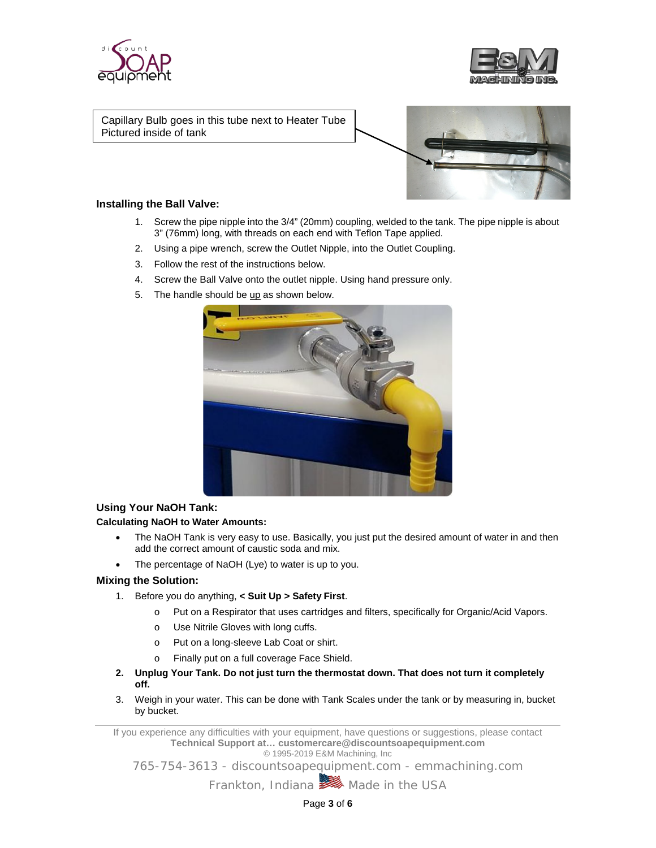



Capillary Bulb goes in this tube next to Heater Tube Pictured inside of tank



#### **Installing the Ball Valve:**

- 1. Screw the pipe nipple into the 3/4" (20mm) coupling, welded to the tank. The pipe nipple is about 3" (76mm) long, with threads on each end with Teflon Tape applied.
- 2. Using a pipe wrench, screw the Outlet Nipple, into the Outlet Coupling.
- 3. Follow the rest of the instructions below.
- 4. Screw the Ball Valve onto the outlet nipple. Using hand pressure only.
- 5. The handle should be up as shown below.



#### **Using Your NaOH Tank:**

#### **Calculating NaOH to Water Amounts:**

- The NaOH Tank is very easy to use. Basically, you just put the desired amount of water in and then add the correct amount of caustic soda and mix.
- The percentage of NaOH (Lye) to water is up to you.

#### **Mixing the Solution:**

- 1. Before you do anything, **< Suit Up > Safety First**.
	- o Put on a Respirator that uses cartridges and filters, specifically for Organic/Acid Vapors.
	- o Use Nitrile Gloves with long cuffs.
	- o Put on a long-sleeve Lab Coat or shirt.
	- o Finally put on a full coverage Face Shield.
- **2. Unplug Your Tank. Do not just turn the thermostat down. That does not turn it completely off.**
- 3. Weigh in your water. This can be done with Tank Scales under the tank or by measuring in, bucket by bucket.

If you experience any difficulties with your equipment, have questions or suggestions, please contact **Technical Support at… customercare@discountsoapequipment.com** © 1995-2019 E&M Machining, Inc

765-754-3613 - discountsoapequipment.com - emmachining.com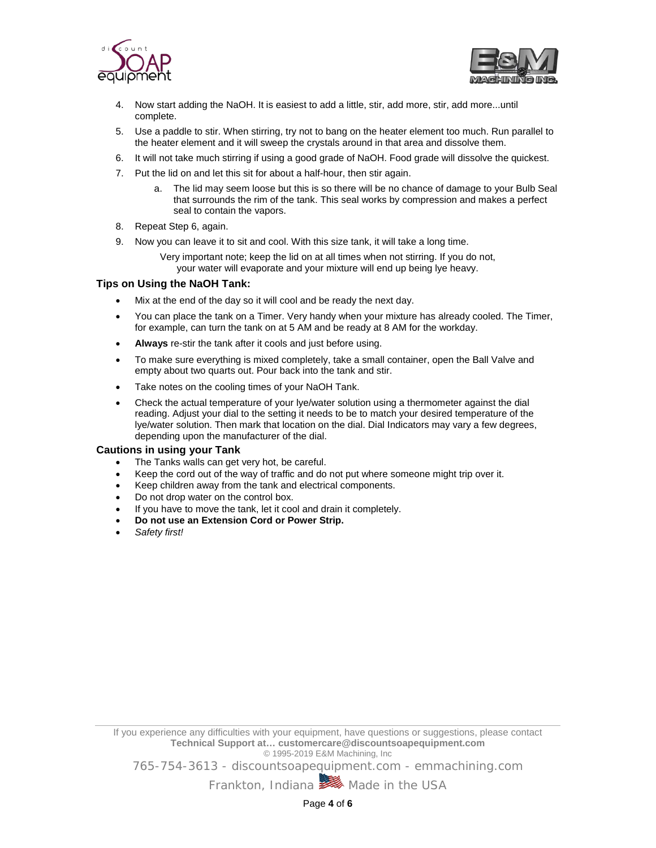



- 4. Now start adding the NaOH. It is easiest to add a little, stir, add more, stir, add more...until complete.
- 5. Use a paddle to stir. When stirring, try not to bang on the heater element too much. Run parallel to the heater element and it will sweep the crystals around in that area and dissolve them.
- 6. It will not take much stirring if using a good grade of NaOH. Food grade will dissolve the quickest.
- 7. Put the lid on and let this sit for about a half-hour, then stir again.
	- a. The lid may seem loose but this is so there will be no chance of damage to your Bulb Seal that surrounds the rim of the tank. This seal works by compression and makes a perfect seal to contain the vapors.
- 8. Repeat Step 6, again.
- 9. Now you can leave it to sit and cool. With this size tank, it will take a long time.

Very important note; keep the lid on at all times when not stirring. If you do not, your water will evaporate and your mixture will end up being lye heavy.

#### **Tips on Using the NaOH Tank:**

- Mix at the end of the day so it will cool and be ready the next day.
- You can place the tank on a Timer. Very handy when your mixture has already cooled. The Timer, for example, can turn the tank on at 5 AM and be ready at 8 AM for the workday.
- **Always** re-stir the tank after it cools and just before using.
- To make sure everything is mixed completely, take a small container, open the Ball Valve and empty about two quarts out. Pour back into the tank and stir.
- Take notes on the cooling times of your NaOH Tank.
- Check the actual temperature of your lye/water solution using a thermometer against the dial reading. Adjust your dial to the setting it needs to be to match your desired temperature of the lye/water solution. Then mark that location on the dial. Dial Indicators may vary a few degrees, depending upon the manufacturer of the dial.

#### **Cautions in using your Tank**

- The Tanks walls can get very hot, be careful.
- Keep the cord out of the way of traffic and do not put where someone might trip over it.
- Keep children away from the tank and electrical components.
- Do not drop water on the control box.
- If you have to move the tank, let it cool and drain it completely.
- **Do not use an Extension Cord or Power Strip.**
- *Safety first!*

If you experience any difficulties with your equipment, have questions or suggestions, please contact **Technical Support at… customercare@discountsoapequipment.com** © 1995-2019 E&M Machining, Inc

765-754-3613 - discountsoapequipment.com - emmachining.com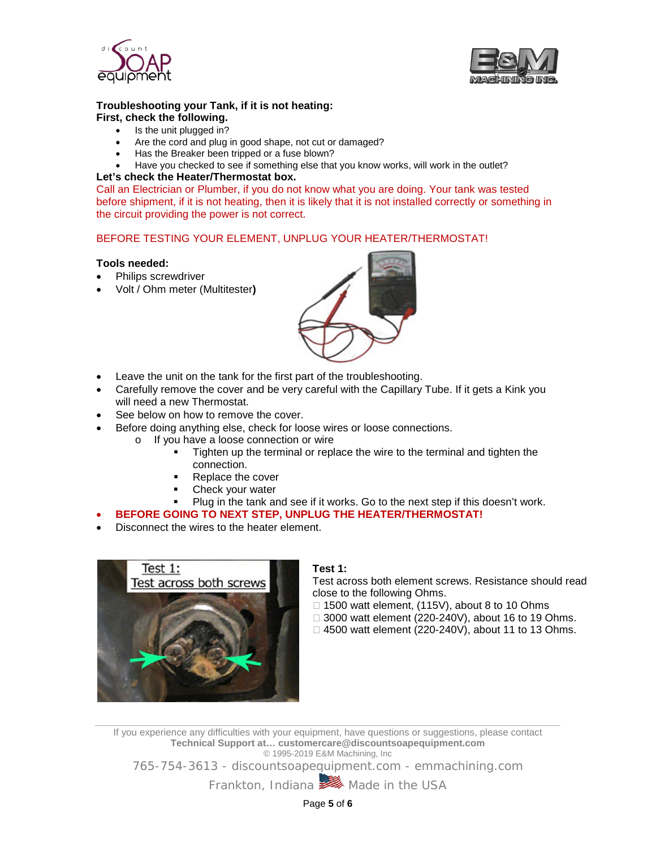



## **Troubleshooting your Tank, if it is not heating:**

- **First, check the following.**
	- Is the unit plugged in?
	- Are the cord and plug in good shape, not cut or damaged?
	- Has the Breaker been tripped or a fuse blown?
	- Have you checked to see if something else that you know works, will work in the outlet?

## **Let's check the Heater/Thermostat box.**

Call an Electrician or Plumber, if you do not know what you are doing. Your tank was tested before shipment, if it is not heating, then it is likely that it is not installed correctly or something in the circuit providing the power is not correct.

## BEFORE TESTING YOUR ELEMENT, UNPLUG YOUR HEATER/THERMOSTAT!

### **Tools needed:**

- Philips screwdriver
- Volt / Ohm meter (Multitester**)**



- Leave the unit on the tank for the first part of the troubleshooting.
- Carefully remove the cover and be very careful with the Capillary Tube. If it gets a Kink you will need a new Thermostat.
- See below on how to remove the cover.
- Before doing anything else, check for loose wires or loose connections.
	- o If you have a loose connection or wire
		- Tighten up the terminal or replace the wire to the terminal and tighten the connection.
		- Replace the cover
		- Check your water
		- Plug in the tank and see if it works. Go to the next step if this doesn't work.

## • **BEFORE GOING TO NEXT STEP, UNPLUG THE HEATER/THERMOSTAT!**

• Disconnect the wires to the heater element.



## **Test 1:**

Test across both element screws. Resistance should read close to the following Ohms.

- $\Box$  1500 watt element, (115V), about 8 to 10 Ohms
- □ 3000 watt element (220-240V), about 16 to 19 Ohms.
- □ 4500 watt element (220-240V), about 11 to 13 Ohms.

If you experience any difficulties with your equipment, have questions or suggestions, please contact **Technical Support at… customercare@discountsoapequipment.com** © 1995-2019 E&M Machining, Inc

765-754-3613 - discountsoapequipment.com - emmachining.com

Frankton, Indiana **Made in the USA** 

Page **5** of **6**